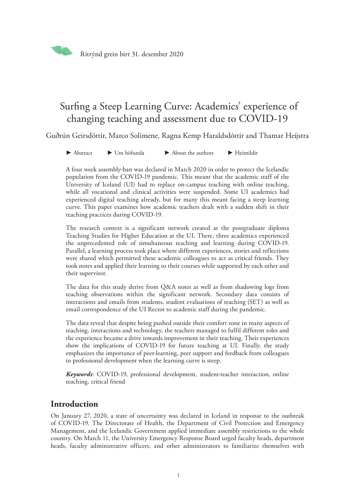

# Surfing a Steep Learning Curve: Academics' experience of changing teaching and assessment due to COVID-19

Guðrún Geirsdóttir, Marco Solimene, Ragna Kemp Haraldsdóttir and Thamar Heijstra

► [Abstract](#page-13-0) ► [Um höfunda](#page-14-0) ► [About the authors](#page-14-0) ► [Heimildi](#page-15-0)r

A four week assembly-ban was declared in March 2020 in order to protect the Icelandic population from the COVID-19 pandemic. This meant that the academic staff of the University of Iceland (UI) had to replace on-campus teaching with online teaching, while all vocational and clinical activities were suspended. Some UI academics had experienced digital teaching already, but for many this meant facing a steep learning curve. This paper examines how academic teachers dealt with a sudden shift in their teaching practices during COVID-19.

The research context is a significant network created at the postgraduate diploma Teaching Studies for Higher Education at the UI. There, three academics experienced the unprecedented role of simultaneous teaching and learning during COVID-19. Parallel, a learning process took place where different experiences, stories and reflections were shared which permitted these academic colleagues to act as critical friends. They took notes and applied their learning to their courses while supported by each other and their supervisor.

The data for this study derive from Q&A notes as well as from shadowing logs from teaching observations within the significant network. Secondary data consists of interactions and emails from students, student evaluations of teaching (SET) as well as email correspondence of the UI Rector to academic staff during the pandemic.

The data reveal that despite being pushed outside their comfort zone in many aspects of teaching, interactions and technology, the teachers managed to fulfil different roles and the experience became a drive towards improvement in their teaching. Their experiences show the implications of COVID-19 for future teaching at UI. Finally, the study emphasizes the importance of peer-learning, peer support and feedback from colleagues in professional development when the learning curve is steep.

*Keywords*: COVID-19, professional development, student-teacher interaction, online teaching, critical friend

## **Introduction**

On January 27, 2020, a state of uncertainty was declared in Iceland in response to the outbreak of COVID-19. The Directorate of Health, the Department of Civil Protection and Emergency Management, and the Icelandic Government applied immediate assembly restrictions to the whole country. On March 11, the University Emergency Response Board urged faculty heads, department heads, faculty administrative officers, and other administrators to familiarize themselves with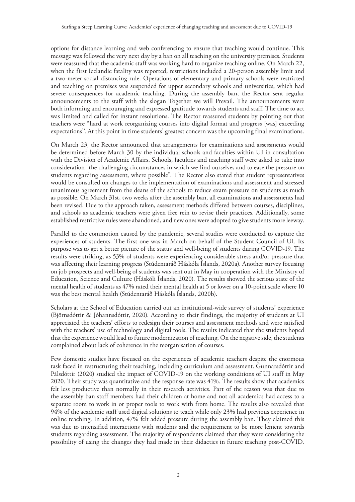options for distance learning and web conferencing to ensure that teaching would continue. This message was followed the very next day by a ban on all teaching on the university premises. Students were reassured that the academic staff was working hard to organize teaching online. On March 22, when the first Icelandic fatality was reported, restrictions included a 20-person assembly limit and a two-meter social distancing rule. Operations of elementary and primary schools were restricted and teaching on premises was suspended for upper secondary schools and universities, which had severe consequences for academic teaching. During the assembly ban, the Rector sent regular announcements to the staff with the slogan Together we will Prevail. The announcements were both informing and encouraging and expressed gratitude towards students and staff. The time to act was limited and called for instant resolutions. The Rector reassured students by pointing out that teachers were "hard at work reorganizing courses into digital format and progress [was] exceeding expectations''. At this point in time students' greatest concern was the upcoming final examinations.

On March 23, the Rector announced that arrangements for examinations and assessments would be determined before March 30 by the individual schools and faculties within UI in consultation with the Division of Academic Affairs. Schools, faculties and teaching staff were asked to take into consideration "the challenging circumstances in which we find ourselves and to ease the pressure on students regarding assessment, where possible". The Rector also stated that student representatives would be consulted on changes to the implementation of examinations and assessment and stressed unanimous agreement from the deans of the schools to reduce exam pressure on students as much as possible. On March 31st, two weeks after the assembly ban, all examinations and assessments had been revised. Due to the approach taken, assessment methods differed between courses, disciplines, and schools as academic teachers were given free rein to revise their practices. Additionally, some established restrictive rules were abandoned, and new ones were adopted to give students more leeway.

Parallel to the commotion caused by the pandemic, several studies were conducted to capture the experiences of students. The first one was in March on behalf of the Student Council of UI. Its purpose was to get a better picture of the status and well-being of students during COVID-19. The results were striking, as 53% of students were experiencing considerable stress and/or pressure that was affecting their learning progress (Stúdentaráð Háskóla Íslands, 2020a). Another survey focusing on job prospects and well-being of students was sent out in May in cooperation with the Ministry of Education, Science and Culture (Háskóli Íslands, 2020). The results showed the serious state of the mental health of students as 47% rated their mental health at 5 or lower on a 10-point scale where 10 was the best mental health (Stúdentaráð Háskóla Íslands, 2020b).

Scholars at the School of Education carried out an institutional-wide survey of students' experience (Björnsdóttir & Jóhannsdóttir, 2020). According to their findings, the majority of students at UI appreciated the teachers' efforts to redesign their courses and assessment methods and were satisfied with the teachers' use of technology and digital tools. The results indicated that the students hoped that the experience would lead to future modernization of teaching. On the negative side, the students complained about lack of coherence in the reorganisation of courses.

Few domestic studies have focused on the experiences of academic teachers despite the enormous task faced in restructuring their teaching, including curriculum and assessment. Gunnarsdóttir and Pálsdóttir (2020) studied the impact of COVID-19 on the working conditions of UI staff in May 2020. Their study was quantitative and the response rate was 41%. The results show that academics felt less productive than normally in their research activities. Part of the reason was that due to the assembly ban staff members had their children at home and not all academics had access to a separate room to work in or proper tools to work with from home. The results also revealed that 94% of the academic staff used digital solutions to teach while only 23% had previous experience in online teaching. In addition, 47% felt added pressure during the assembly ban. They claimed this was due to intensified interactions with students and the requirement to be more lenient towards students regarding assessment. The majority of respondents claimed that they were considering the possibility of using the changes they had made in their didactics in future teaching post-COVID.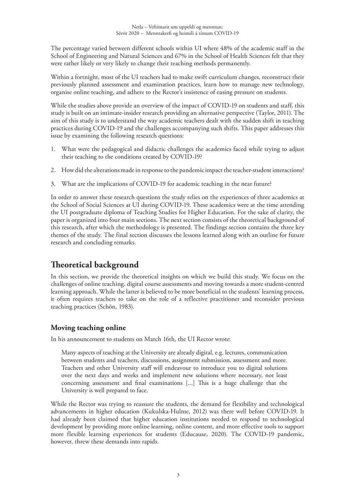The percentage varied between different schools within UI where 48% of the academic staff in the School of Engineering and Natural Sciences and 67% in the School of Health Sciences felt that they were rather likely or very likely to change their teaching methods permanently.

Within a fortnight, most of the UI teachers had to make swift curriculum changes, reconstruct their previously planned assessment and examination practices, learn how to manage new technology, organise online teaching, and adhere to the Rector's insistence of easing pressure on students.

While the studies above provide an overview of the impact of COVID-19 on students and staff, this study is built on an intimate-insider research providing an alternative perspective (Taylor, 2011). The aim of this study is to understand the way academic teachers dealt with the sudden shift in teaching practices during COVID-19 and the challenges accompanying such shifts. This paper addresses this issue by examining the following research questions:

- 1. What were the pedagogical and didactic challenges the academics faced while trying to adjust their teaching to the conditions created by COVID-19?
- 2. How did the alterations made in response to the pandemic impact the teacher-student interactions?
- 3. What are the implications of COVID-19 for academic teaching in the near future?

In order to answer these research questions the study relies on the experiences of three academics at the School of Social Sciences at UI during COVID-19. These academics were at the time attending the UI postgraduate diploma of Teaching Studies for Higher Education. For the sake of clarity, the paper is organized into four main sections. The next section consists of the theoretical background of this research, after which the methodology is presented. The findings section contains the three key themes of the study. The final section discusses the lessons learned along with an outline for future research and concluding remarks.

## **Theoretical background**

In this section, we provide the theoretical insights on which we build this study. We focus on the challenges of online teaching, digital course assessments and moving towards a more student-centred learning approach. While the latter is believed to be more beneficial to the students' learning process, it often requires teachers to take on the role of a reflective practitioner and reconsider previous teaching practices (Schön, 1983).

## **Moving teaching online**

In his announcement to students on March 16th, the UI Rector wrote:

Many aspects of teaching at the University are already digital, e.g. lectures, communication between students and teachers, discussions, assignment submission, assessment and more. Teachers and other University staff will endeavour to introduce you to digital solutions over the next days and weeks and implement new solutions where necessary, not least concerning assessment and final examinations [...] This is a huge challenge that the University is well prepared to face.

While the Rector was trying to reassure the students, the demand for flexibility and technological advancements in higher education (Kukulska-Hulme, 2012) was there well before COVID-19. It had already been claimed that higher education institutions needed to respond to technological development by providing more online learning, online content, and more effective tools to support more flexible learning experiences for students (Educause, 2020). The COVID-19 pandemic, however, threw these demands into rapids.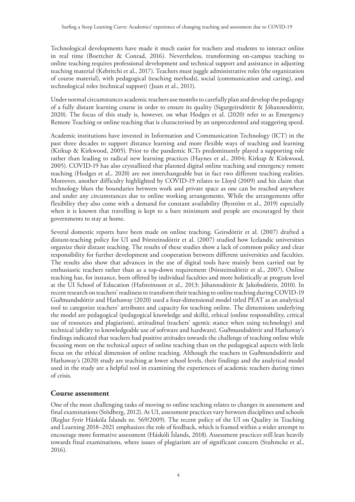Technological developments have made it much easier for teachers and students to interact online in real time (Boettcher & Conrad, 2016). Nevertheless, transforming on-campus teaching to online teaching requires professional development and technical support and assistance in adjusting teaching material (Kebritchi et al., 2017). Teachers must juggle administrative roles (the organization of course material), with pedagogical (teaching methods), social (communication and caring), and technological roles (technical support) (Juan et al., 2011).

Under normal circumstances academic teachers use months to carefully plan and develop the pedagogy of a fully distant learning course in order to ensure its quality (Sigurgeirsdóttir & Jóhannesdóttir, 2020). The focus of this study is, however, on what Hodges et al. (2020) refer to as Emergency Remote Teaching or online teaching that is characterised by an unprecedented and staggering speed.

Academic institutions have invested in Information and Communication Technology (ICT) in the past three decades to support distance learning and more flexible ways of teaching and learning (Kirkup & Kirkwood, 2005). Prior to the pandemic ICTs predominantly played a supporting role rather than leading to radical new learning practices (Haynes et al., 2004; Kirkup & Kirkwood, 2005). COVID-19 has also crystallized that planned digital online teaching and emergency remote teaching (Hodges et al., 2020) are not interchangeable but in fact two different teaching realities. Moreover, another difficulty highlighted by COVID-19 relates to Lloyd (2009) and his claim that technology blurs the boundaries between work and private space as one can be reached anywhere and under any circumstances due to online working arrangements. While the arrangements offer flexibility they also come with a demand for constant availability (Byström et al., 2019) especially when it is known that travelling is kept to a bare minimum and people are encouraged by their governments to stay at home.

Several domestic reports have been made on online teaching. Geirsdóttir et al. (2007) drafted a distant-teaching policy for UI and Þórsteinsdóttir et al. (2007) studied how Icelandic universities organize their distant teaching. The results of these studies show a lack of common policy and clear responsibility for further development and cooperation between different universities and faculties. The results also show that advances in the use of digital tools have mainly been carried out by enthusiastic teachers rather than as a top-down requirement (Þórsteinsdóttir et al., 2007). Online teaching has, for instance, been offered by individual faculties and more holistically at program level at the UI School of Education (Hafsteinsson et al., 2013; Jóhannsdóttir & Jakobsdóttir, 2010). In recent research on teachers' readiness to transform their teaching to online teaching during COVID-19 Guðmundsdóttir and Hathaway (2020) used a four-dimensional model titled PEAT as an analytical tool to categorize teachers' attributes and capacity for teaching online. The dimensions underlying the model are pedagogical (pedagogical knowledge and skills), ethical (online responsibility, critical use of resources and plagiarism), attitudinal (teachers' agentic stance when using technology) and technical (ability to knowledgeable use of software and hardware). Guðmundsdóttir and Hathaway's findings indicated that teachers had positive attitudes towards the challenge of teaching online while focusing more on the technical aspect of online teaching than on the pedagogical aspects with little focus on the ethical dimension of online teaching. Although the teachers in Guðmundsdóttir and Hathaway's (2020) study are teaching at lower school levels, their findings and the analytical model used in the study are a helpful tool in examining the experiences of academic teachers during times of crisis.

#### **Course assessment**

One of the most challenging tasks of moving to online teaching relates to changes in assessment and final examinations (Stödberg, 2012). At UI, assessment practices vary between disciplines and schools (Reglur fyrir Háskóla Íslands nr. 569/2009). The recent policy of the UI on Quality in Teaching and Learning 2018–2021 emphasizes the role of feedback, which is framed within a wider attempt to encourage more formative assessment (Háskóli Íslands, 2018). Assessment practices still lean heavily towards final examinations, where issues of plagiarism are of significant concern (Stuhmcke et al., 2016).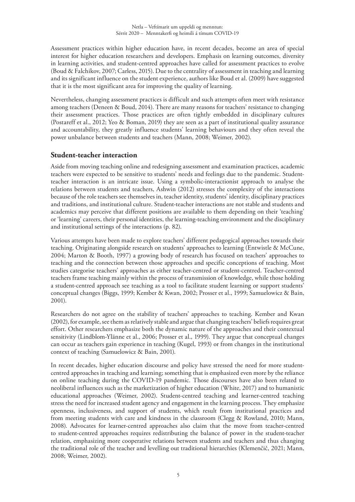Assessment practices within higher education have, in recent decades, become an area of special interest for higher education researchers and developers. Emphasis on learning outcomes, diversity in learning activities, and student-centred approaches have called for assessment practices to evolve (Boud & Falchikov, 2007; Carless, 2015). Due to the centrality of assessment in teaching and learning and its significant influence on the student experience, authors like Boud et al. (2009) have suggested that it is the most significant area for improving the quality of learning.

Nevertheless, changing assessment practices is difficult and such attempts often meet with resistance among teachers (Deneen & Boud, 2014). There are many reasons for teachers' resistance to changing their assessment practices. Those practices are often tightly embedded in disciplinary cultures (Postareff et al., 2012; Yeo & Boman, 2019) they are seen as a part of institutional quality assurance and accountability, they greatly influence students' learning behaviours and they often reveal the power unbalance between students and teachers (Mann, 2008; Weimer, 2002).

## **Student-teacher interaction**

Aside from moving teaching online and redesigning assessment and examination practices, academic teachers were expected to be sensitive to students' needs and feelings due to the pandemic. Studentteacher interaction is an intricate issue. Using a symbolic-interactionist approach to analyse the relations between students and teachers, Ashwin (2012) stresses the complexity of the interactions because of the role teachers see themselves in, teacher identity, students' identity, disciplinary practices and traditions, and institutional culture. Student-teacher interactions are not stable and students and academics may perceive that different positions are available to them depending on their 'teaching' or 'learning' careers, their personal identities, the learning-teaching environment and the disciplinary and institutional settings of the interactions (p. 82).

Various attempts have been made to explore teachers' different pedagogical approaches towards their teaching. Originating alongside research on students' approaches to learning (Entwistle & McCune, 2004; Marton & Booth, 1997) a growing body of research has focused on teachers' approaches to teaching and the connection between those approaches and specific conceptions of teaching. Most studies categorise teachers' approaches as either teacher-centred or student-centred. Teacher-centred teachers frame teaching mainly within the process of transmission of knowledge, while those holding a student-centred approach see teaching as a tool to facilitate student learning or support students' conceptual changes (Biggs, 1999; Kember & Kwan, 2002; Prosser et al., 1999; Samuelowicz & Bain, 2001).

Researchers do not agree on the stability of teachers' approaches to teaching. Kember and Kwan (2002), for example, see them as relatively stable and argue that changing teachers' beliefs requires great effort. Other researchers emphasize both the dynamic nature of the approaches and their contextual sensitivity (Lindblom-Ylänne et al., 2006; Prosser et al., 1999). They argue that conceptual changes can occur as teachers gain experience in teaching (Kugel, 1993) or from changes in the institutional context of teaching (Samuelowicz & Bain, 2001).

In recent decades, higher education discourse and policy have stressed the need for more studentcentred approaches in teaching and learning; something that is emphasized even more by the reliance on online teaching during the COVID-19 pandemic. Those discourses have also been related to neoliberal influences such as the marketization of higher education (White, 2017) and to humanistic educational approaches (Weimer, 2002). Student-centred teaching and learner-centred teaching stress the need for increased student agency and engagement in the learning process. They emphasize openness, inclusiveness, and support of students, which result from institutional practices and from meeting students with care and kindness in the classroom (Clegg & Rowland, 2010; Mann, 2008). Advocates for learner-centred approaches also claim that the move from teacher-centred to student-centred approaches requires redistributing the balance of power in the student-teacher relation, emphasizing more cooperative relations between students and teachers and thus changing the traditional role of the teacher and levelling out traditional hierarchies (Klemenčič, 2021; Mann, 2008; Weimer, 2002).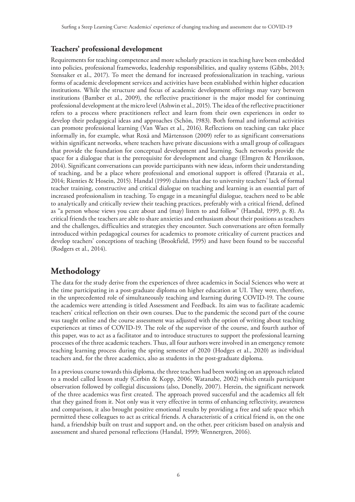## **Teachers' professional development**

Requirements for teaching competence and more scholarly practices in teaching have been embedded into policies, professional frameworks, leadership responsibilities, and quality systems (Gibbs, 2013; Stensaker et al., 2017). To meet the demand for increased professionalization in teaching, various forms of academic development services and activities have been established within higher education institutions. While the structure and focus of academic development offerings may vary between institutions (Bamber et al., 2009), the reflective practitioner is the major model for continuing professional development at the micro level (Ashwin et al., 2015). The idea of the reflective practitioner refers to a process where practitioners reflect and learn from their own experiences in order to develop their pedagogical ideas and approaches (Schön, 1983). Both formal and informal activities can promote professional learning (Van Waes et al., 2016). Reflections on teaching can take place informally in, for example, what Roxå and Mårtensson (2009) refer to as significant conversations within significant networks, where teachers have private discussions with a small group of colleagues that provide the foundation for conceptual development and learning. Such networks provide the space for a dialogue that is the prerequisite for development and change (Elmgren & Henriksson, 2014). Significant conversations can provide participants with new ideas, inform their understanding of teaching, and be a place where professional and emotional support is offered (Pataraia et al., 2014; Rienties & Hosein, 2015). Handal (1999) claims that due to university teachers' lack of formal teacher training, constructive and critical dialogue on teaching and learning is an essential part of increased professionalism in teaching. To engage in a meaningful dialogue, teachers need to be able to analytically and critically review their teaching practices, preferably with a critical friend, defined as "a person whose views you care about and (may) listen to and follow" (Handal, 1999, p. 8). As critical friends the teachers are able to share anxieties and enthusiasm about their positions as teachers and the challenges, difficulties and strategies they encounter. Such conversations are often formally introduced within pedagogical courses for academics to promote criticality of current practices and develop teachers' conceptions of teaching (Brookfield, 1995) and have been found to be successful (Rodgers et al., 2014).

## **Methodology**

The data for the study derive from the experiences of three academics in Social Sciences who were at the time participating in a post-graduate diploma on higher education at UI. They were, therefore, in the unprecedented role of simultaneously teaching and learning during COVID-19. The course the academics were attending is titled Assessment and Feedback. Its aim was to facilitate academic teachers' critical reflection on their own courses. Due to the pandemic the second part of the course was taught online and the course assessment was adjusted with the option of writing about teaching experiences at times of COVID-19. The role of the supervisor of the course, and fourth author of this paper, was to act as a facilitator and to introduce structures to support the professional learning processes of the three academic teachers. Thus, all four authors were involved in an emergency remote teaching learning process during the spring semester of 2020 (Hodges et al., 2020) as individual teachers and, for the three academics, also as students in the post-graduate diploma.

In a previous course towards this diploma, the three teachers had been working on an approach related to a model called lesson study (Cerbin & Kopp, 2006; Watanabe, 2002) which entails participant observation followed by collegial discussions (also, Donelly, 2007). Herein, the significant network of the three academics was first created. The approach proved successful and the academics all felt that they gained from it. Not only was it very effective in terms of enhancing reflectivity, awareness and comparison, it also brought positive emotional results by providing a free and safe space which permitted these colleagues to act as critical friends. A characteristic of a critical friend is, on the one hand, a friendship built on trust and support and, on the other, peer criticism based on analysis and assessment and shared personal reflections (Handal[, 1999; Wennergren, 2016](https://www.tandfonline.com/doi/full/10.1080/09650792.2015.1058170?casa_token=j1tpNzjlbn8AAAAA%3A2p1ocvn6tXIfz-Lm3gRbWTqu1YQT2IeNxwuqPlN-QYybsQjaE3g0WZMJPEGR0gSd2kEDYnDOI5QN)).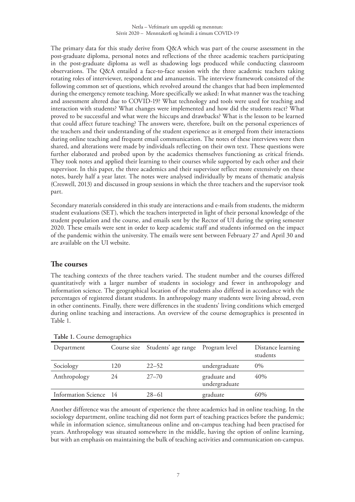The primary data for this study derive from Q&A which was part of the course assessment in the post-graduate diploma, personal notes and reflections of the three academic teachers participating in the post-graduate diploma as well as shadowing logs produced while conducting classroom observations. The Q&A entailed a face-to-face session with the three academic teachers taking rotating roles of interviewer, respondent and amanuensis. The interview framework consisted of the following common set of questions, which revolved around the changes that had been implemented during the emergency remote teaching. More specifically we asked: In what manner was the teaching and assessment altered due to COVID-19? What technology and tools were used for teaching and interaction with students? What changes were implemented and how did the students react? What proved to be successful and what were the hiccups and drawbacks? What is the lesson to be learned that could affect future teaching? The answers were, therefore, built on the personal experiences of the teachers and their understanding of the student experience as it emerged from their interactions during online teaching and frequent email communication. The notes of these interviews were then shared, and alterations were made by individuals reflecting on their own text. These questions were further elaborated and probed upon by the academics themselves functioning as critical friends. They took notes and applied their learning to their courses while supported by each other and their supervisor. In this paper, the three academics and their supervisor reflect more extensively on these notes, barely half a year later. The notes were analysed individually by means of thematic analysis (Creswell, 2013) and discussed in group sessions in which the three teachers and the supervisor took part.

Secondary materials considered in this study are interactions and e-mails from students, the midterm student evaluations (SET), which the teachers interpreted in light of their personal knowledge of the student population and the course, and emails sent by the Rector of UI during the spring semester 2020. These emails were sent in order to keep academic staff and students informed on the impact of the pandemic within the university. The emails were sent between February 27 and April 30 and are available on the UI website.

### **The courses**

The teaching contexts of the three teachers varied. The student number and the courses differed quantitatively with a larger number of students in sociology and fewer in anthropology and information science. The geographical location of the students also differed in accordance with the percentages of registered distant students. In anthropology many students were living abroad, even in other continents. Finally, there were differences in the students' living conditions which emerged during online teaching and interactions. An overview of the course demographics is presented in Table 1.

| Department             |     | Course size Students' age range Program level |                               | Distance learning<br>students |
|------------------------|-----|-----------------------------------------------|-------------------------------|-------------------------------|
| Sociology              | 120 | $22 - 52$                                     | undergraduate                 | $0\%$                         |
| Anthropology           | 24  | $27 - 70$                                     | graduate and<br>undergraduate | 40%                           |
| Information Science 14 |     | $28 - 61$                                     | graduate                      | 60%                           |

**Table 1.** Course demographics

Another difference was the amount of experience the three academics had in online teaching. In the sociology department, online teaching did not form part of teaching practices before the pandemic; while in information science, simultaneous online and on-campus teaching had been practised for years. Anthropology was situated somewhere in the middle, having the option of online learning, but with an emphasis on maintaining the bulk of teaching activities and communication on-campus.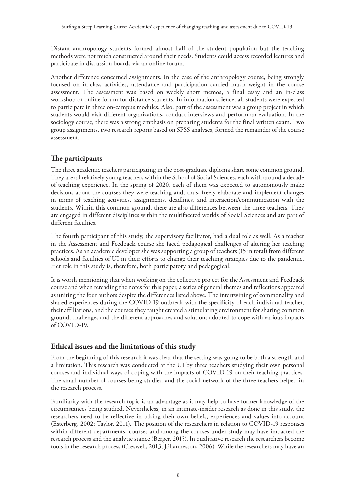Distant anthropology students formed almost half of the student population but the teaching methods were not much constructed around their needs. Students could access recorded lectures and participate in discussion boards via an online forum.

Another difference concerned assignments. In the case of the anthropology course, being strongly focused on in-class activities, attendance and participation carried much weight in the course assessment. The assessment was based on weekly short memos, a final essay and an in-class workshop or online forum for distance students. In information science, all students were expected to participate in three on-campus modules. Also, part of the assessment was a group project in which students would visit different organizations, conduct interviews and perform an evaluation. In the sociology course, there was a strong emphasis on preparing students for the final written exam. Two group assignments, two research reports based on SPSS analyses, formed the remainder of the course assessment.

## **The participants**

The three academic teachers participating in the post-graduate diploma share some common ground. They are all relatively young teachers within the School of Social Sciences, each with around a decade of teaching experience. In the spring of 2020, each of them was expected to autonomously make decisions about the courses they were teaching and, thus, freely elaborate and implement changes in terms of teaching activities, assignments, deadlines, and interaction/communication with the students. Within this common ground, there are also differences between the three teachers. They are engaged in different disciplines within the multifaceted worlds of Social Sciences and are part of different faculties.

The fourth participant of this study, the supervisory facilitator, had a dual role as well. As a teacher in the Assessment and Feedback course she faced pedagogical challenges of altering her teaching practices. As an academic developer she was supporting a group of teachers (15 in total) from different schools and faculties of UI in their efforts to change their teaching strategies due to the pandemic. Her role in this study is, therefore, both participatory and pedagogical.

It is worth mentioning that when working on the collective project for the Assessment and Feedback course and when rereading the notes for this paper, a series of general themes and reflections appeared as uniting the four authors despite the differences listed above. The intertwining of commonality and shared experiences during the COVID-19 outbreak with the specificity of each individual teacher, their affiliations, and the courses they taught created a stimulating environment for sharing common ground, challenges and the different approaches and solutions adopted to cope with various impacts of COVID-19.

## **Ethical issues and the limitations of this study**

From the beginning of this research it was clear that the setting was going to be both a strength and a limitation. This research was conducted at the UI by three teachers studying their own personal courses and individual ways of coping with the impacts of COVID-19 on their teaching practices. The small number of courses being studied and the social network of the three teachers helped in the research process.

Familiarity with the research topic is an advantage as it may help to have former knowledge of the circumstances being studied. Nevertheless, in an intimate-insider research as done in this study, the researchers need to be reflective in taking their own beliefs, experiences and values into account (Esterberg, 2002; Taylor, 2011). The position of the researchers in relation to COVID-19 responses within different departments, courses and among the courses under study may have impacted the research process and the analytic stance (Berger, 2015). In qualitative research the researchers become tools in the research process (Creswell, 2013; Jóhannesson, 2006). While the researchers may have an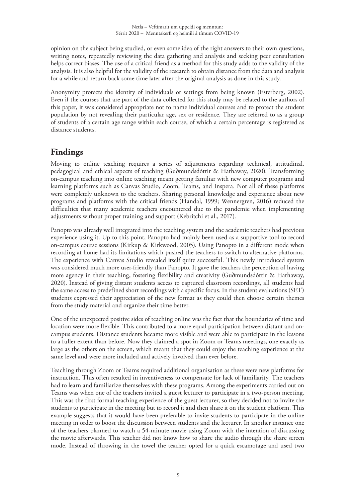opinion on the subject being studied, or even some idea of the right answers to their own questions, writing notes, repeatedly reviewing the data gathering and analysis and seeking peer consultation helps correct biases. The use of a critical friend as a method for this study adds to the validity of the analysis. It is also helpful for the validity of the research to obtain distance from the data and analysis for a while and return back some time later after the original analysis as done in this study.

Anonymity protects the identity of individuals or settings from being known (Esterberg, 2002). Even if the courses that are part of the data collected for this study may be related to the authors of this paper, it was considered appropriate not to name individual courses and to protect the student population by not revealing their particular age, sex or residence. They are referred to as a group of students of a certain age range within each course, of which a certain percentage is registered as distance students.

## **Findings**

Moving to online teaching requires a series of adjustments regarding technical, attitudinal, pedagogical and ethical aspects of teaching (Guðmundsdóttir & Hathaway, 2020). Transforming on-campus teaching into online teaching meant getting familiar with new computer programs and learning platforms such as Canvas Studio, Zoom, Teams, and Inspera. Not all of these platforms were completely unknown to the teachers. Sharing personal knowledge and experience about new programs and platforms with the critical friends (Handal, [1999; Wennergren, 2016\)](https://www.tandfonline.com/doi/full/10.1080/09650792.2015.1058170?casa_token=j1tpNzjlbn8AAAAA%3A2p1ocvn6tXIfz-Lm3gRbWTqu1YQT2IeNxwuqPlN-QYybsQjaE3g0WZMJPEGR0gSd2kEDYnDOI5QN) reduced the difficulties that many academic teachers encountered due to the pandemic when implementing adjustments without proper training and support (Kebritchi et al., 2017).

Panopto was already well integrated into the teaching system and the academic teachers had previous experience using it. Up to this point, Panopto had mainly been used as a supportive tool to record on-campus course sessions (Kirkup & Kirkwood, 2005). Using Panopto in a different mode when recording at home had its limitations which pushed the teachers to switch to alternative platforms. The experience with Canvas Studio revealed itself quite successful. This newly introduced system was considered much more user-friendly than Panopto. It gave the teachers the perception of having more agency in their teaching, fostering flexibility and creativity (Guðmundsdóttir & Hathaway, 2020). Instead of giving distant students access to captured classroom recordings, all students had the same access to predefined short recordings with a specific focus. In the student evaluations (SET) students expressed their appreciation of the new format as they could then choose certain themes from the study material and organize their time better.

One of the unexpected positive sides of teaching online was the fact that the boundaries of time and location were more flexible. This contributed to a more equal participation between distant and oncampus students. Distance students became more visible and were able to participate in the lessons to a fuller extent than before. Now they claimed a spot in Zoom or Teams meetings, one exactly as large as the others on the screen, which meant that they could enjoy the teaching experience at the same level and were more included and actively involved than ever before.

Teaching through Zoom or Teams required additional organisation as these were new platforms for instruction. This often resulted in inventiveness to compensate for lack of familiarity. The teachers had to learn and familiarize themselves with these programs. Among the experiments carried out on Teams was when one of the teachers invited a guest lecturer to participate in a two-person meeting. This was the first formal teaching experience of the guest lecturer, so they decided not to invite the students to participate in the meeting but to record it and then share it on the student platform. This example suggests that it would have been preferable to invite students to participate in the online meeting in order to boost the discussion between students and the lecturer. In another instance one of the teachers planned to watch a 54-minute movie using Zoom with the intention of discussing the movie afterwards. This teacher did not know how to share the audio through the share screen mode. Instead of throwing in the towel the teacher opted for a quick escamotage and used two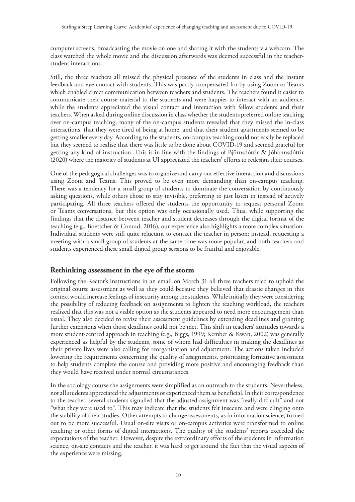computer screens, broadcasting the movie on one and sharing it with the students via webcam. The class watched the whole movie and the discussion afterwards was deemed successful in the teacherstudent interactions.

Still, the three teachers all missed the physical presence of the students in class and the instant feedback and eye-contact with students. This was partly compensated for by using Zoom or Teams which enabled direct communication between teachers and students. The teachers found it easier to communicate their course material to the students and were happier to interact with an audience, while the students appreciated the visual contact and interaction with fellow students and their teachers. When asked during online discussion in class whether the students preferred online teaching over on-campus teaching, many of the on-campus students revealed that they missed the in-class interactions, that they were tired of being at home, and that their student apartments seemed to be getting smaller every day. According to the students, on-campus teaching could not easily be replaced but they seemed to realise that there was little to be done about COVID-19 and seemed grateful for getting any kind of instruction. This is in line with the findings of Björnsdóttir & Jóhannsdóttir (2020) where the majority of students at UI appreciated the teachers' efforts to redesign their courses.

One of the pedagogical challenges was to organize and carry out effective interaction and discussions using Zoom and Teams. This proved to be even more demanding than on-campus teaching. There was a tendency for a small group of students to dominate the conversation by continuously asking questions, while others chose to stay invisible, preferring to just listen in instead of actively participating. All three teachers offered the students the opportunity to request personal Zoom or Teams conversations, but this option was only occasionally used. Thus, while supporting the findings that the distance between teacher and student decreases through the digital format of the teaching (e.g., Boettcher & Conrad, 2016), our experience also highlights a more complex situation. Individual students were still quite reluctant to contact the teacher in person; instead, requesting a meeting with a small group of students at the same time was more popular, and both teachers and students experienced these small digital group sessions to be fruitful and enjoyable.

## **Rethinking assessment in the eye of the storm**

Following the Rector's instructions in an email on March 31 all three teachers tried to uphold the original course assessment as well as they could because they believed that drastic changes in this context would increase feelings of insecurity among the students. While initially they were considering the possibility of reducing feedback on assignments to lighten the teaching workload, the teachers realized that this was not a viable option as the students appeared to need more encouragement than usual. They also decided to revise their assessment guidelines by extending deadlines and granting further extensions when those deadlines could not be met. This shift in teachers' attitudes towards a more student-centred approach in teaching (e.g., Biggs, 1999; Kember & Kwan, 2002) was generally experienced as helpful by the students, some of whom had difficulties in making the deadlines as their private lives were also calling for reorganisation and adjustment. The actions taken included lowering the requirements concerning the quality of assignments, prioritizing formative assessment to help students complete the course and providing more positive and encouraging feedback than they would have received under normal circumstances.

In the sociology course the assignments were simplified as an outreach to the students. Nevertheless, not all students appreciated the adjustments or experienced them as beneficial. In their correspondence to the teacher, several students signalled that the adjusted assignment was "really difficult" and not "what they were used to". This may indicate that the students felt insecure and were clinging onto the stability of their studies. Other attempts to change assessments, as in information science, turned out to be more successful. Usual on-site visits or on-campus activities were transformed to online teaching or other forms of digital interactions. The quality of the students' reports exceeded the expectations of the teacher. However, despite the extraordinary efforts of the students in information science, on-site contacts and the teacher, it was hard to get around the fact that the visual aspects of the experience were missing.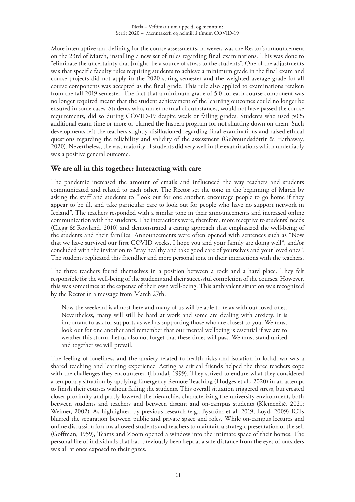More interruptive and defining for the course assessments, however, was the Rector's announcement on the 23rd of March, installing a new set of rules regarding final examinations. This was done to "eliminate the uncertainty that [might] be a source of stress to the students". One of the adjustments was that specific faculty rules requiring students to achieve a minimum grade in the final exam and course projects did not apply in the 2020 spring semester and the weighted average grade for all course components was accepted as the final grade. This rule also applied to examinations retaken from the fall 2019 semester. The fact that a minimum grade of 5.0 for each course component was no longer required meant that the student achievement of the learning outcomes could no longer be ensured in some cases. Students who, under normal circumstances, would not have passed the course requirements, did so during COVID-19 despite weak or failing grades. Students who used 50% additional exam time or more or blamed the Inspera program for not shutting down on them. Such developments left the teachers slightly disillusioned regarding final examinations and raised ethical questions regarding the reliability and validity of the assessment (Guðmundsdóttir & Hathaway, 2020). Nevertheless, the vast majority of students did very well in the examinations which undeniably was a positive general outcome.

## **We are all in this together: Interacting with care**

The pandemic increased the amount of emails and influenced the way teachers and students communicated and related to each other. The Rector set the tone in the beginning of March by asking the staff and students to "look out for one another, encourage people to go home if they appear to be ill, and take particular care to look out for people who have no support network in Iceland". The teachers responded with a similar tone in their announcements and increased online communication with the students. The interactions were, therefore, more receptive to students' needs (Clegg & Rowland, 2010) and demonstrated a caring approach that emphasized the well-being of the students and their families. Announcements were often opened with sentences such as "Now that we have survived our first COVID weeks, I hope you and your family are doing well", and/or concluded with the invitation to "stay healthy and take good care of yourselves and your loved ones". The students replicated this friendlier and more personal tone in their interactions with the teachers.

The three teachers found themselves in a position between a rock and a hard place. They felt responsible for the well-being of the students and their successful completion of the courses. However, this was sometimes at the expense of their own well-being. This ambivalent situation was recognized by the Rector in a message from March 27th.

Now the weekend is almost here and many of us will be able to relax with our loved ones. Nevertheless, many will still be hard at work and some are dealing with anxiety. It is important to ask for support, as well as supporting those who are closest to you. We must look out for one another and remember that our mental wellbeing is essential if we are to weather this storm. Let us also not forget that these times will pass. We must stand united and together we will prevail.

The feeling of loneliness and the anxiety related to health risks and isolation in lockdown was a shared teaching and learning experience. Acting as critical friends helped the three teachers cope with the challenges they encountered (Handal, 1999). They strived to endure what they considered a temporary situation by applying Emergency Remote Teaching (Hodges et al., 2020) in an attempt to finish their courses without failing the students. This overall situation triggered stress, but created closer proximity and partly lowered the hierarchies characterizing the university environment, both between students and teachers and between distant and on-campus students (Klemenčič, 2021; Weimer, 2002). As highlighted by previous research (e.g., Byström et al. 2019; Loyd, 2009) ICTs blurred the separation between public and private space and roles. While on-campus lectures and online discussion forums allowed students and teachers to maintain a strategic presentation of the self (Goffman, 1959), Teams and Zoom opened a window into the intimate space of their homes. The personal life of individuals that had previously been kept at a safe distance from the eyes of outsiders was all at once exposed to their gazes.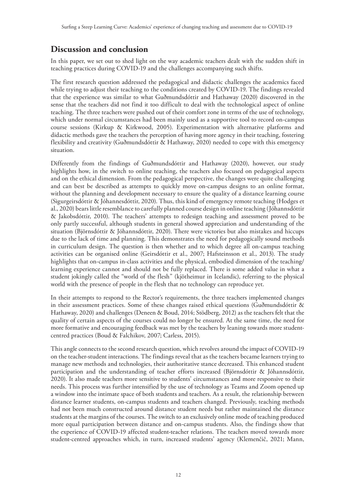## **Discussion and conclusion**

In this paper, we set out to shed light on the way academic teachers dealt with the sudden shift in teaching practices during COVID-19 and the challenges accompanying such shifts.

The first research question addressed the pedagogical and didactic challenges the academics faced while trying to adjust their teaching to the conditions created by COVID-19. The findings revealed that the experience was similar to what Guðmundsdóttir and Hathaway (2020) discovered in the sense that the teachers did not find it too difficult to deal with the technological aspect of online teaching. The three teachers were pushed out of their comfort zone in terms of the use of technology, which under normal circumstances had been mainly used as a supportive tool to record on-campus course sessions (Kirkup & Kirkwood, 2005). Experimentation with alternative platforms and didactic methods gave the teachers the perception of having more agency in their teaching, fostering flexibility and creativity (Guðmundsdóttir & Hathaway, 2020) needed to cope with this emergency situation.

Differently from the findings of Guðmundsdóttir and Hathaway (2020), however, our study highlights how, in the switch to online teaching, the teachers also focused on pedagogical aspects and on the ethical dimension. From the pedagogical perspective, the changes were quite challenging and can best be described as attempts to quickly move on-campus designs to an online format, without the planning and development necessary to ensure the quality of a distance learning course (Sigurgeirsdóttir & Jóhannesdóttir, 2020). Thus, this kind of emergency remote teaching (Hodges et al., 2020) bears little resemblance to carefully planned course design in online teaching (Jóhannsdóttir & Jakobsdóttir, 2010). The teachers' attempts to redesign teaching and assessment proved to be only partly successful, although students in general showed appreciation and understanding of the situation (Björnsdóttir & Jóhannsdóttir, 2020). There were victories but also mistakes and hiccups due to the lack of time and planning. This demonstrates the need for pedagogically sound methods in curriculum design. The question is then whether and to which degree all on-campus teaching activities can be organised online (Geirsdóttir et al., 2007; Hafsteinsson et al., 2013). The study highlights that on-campus in-class activities and the physical, embodied dimension of the teaching/ learning experience cannot and should not be fully replaced. There is some added value in what a student jokingly called the "world of the flesh" (kjötheimur in Icelandic), referring to the physical world with the presence of people in the flesh that no technology can reproduce yet.

In their attempts to respond to the Rector's requirements, the three teachers implemented changes in their assessment practices. Some of these changes raised ethical questions (Guðmundsdóttir & Hathaway, 2020) and challenges (Deneen & Boud, 2014; Stödberg, 2012) as the teachers felt that the quality of certain aspects of the courses could no longer be ensured. At the same time, the need for more formative and encouraging feedback was met by the teachers by leaning towards more studentcentred practices (Boud & Falchikov, 2007; Carless, 2015).

This angle connects to the second research question, which revolves around the impact of COVID-19 on the teacher-student interactions. The findings reveal that as the teachers became learners trying to manage new methods and technologies, their authoritative stance decreased. This enhanced student participation and the understanding of teacher efforts increased (Björnsdóttir & Jóhannsdóttir, 2020). It also made teachers more sensitive to students' circumstances and more responsive to their needs. This process was further intensified by the use of technology as Teams and Zoom opened up a window into the intimate space of both students and teachers. As a result, the relationship between distance learner students, on-campus students and teachers changed. Previously, teaching methods had not been much constructed around distance student needs but rather maintained the distance students at the margins of the courses. The switch to an exclusively online mode of teaching produced more equal participation between distance and on-campus students. Also, the findings show that the experience of COVID-19 affected student-teacher relations. The teachers moved towards more student-centred approaches which, in turn, increased students' agency (Klemenčič, 2021; Mann,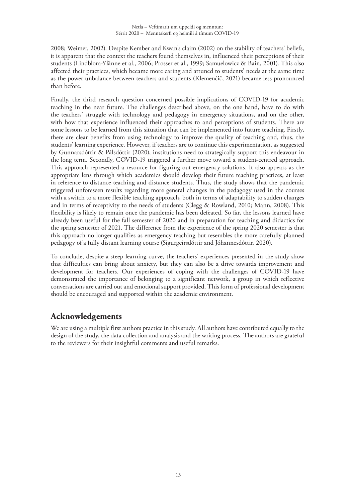2008; Weimer, 2002). Despite Kember and Kwan's claim (2002) on the stability of teachers' beliefs, it is apparent that the context the teachers found themselves in, influenced their perceptions of their students (Lindblom-Ylänne et al., 2006; Prosser et al., 1999; Samuelowicz & Bain, 2001). This also affected their practices, which became more caring and attuned to students' needs at the same time as the power unbalance between teachers and students (Klemenčič, 2021) became less pronounced than before.

Finally, the third research question concerned possible implications of COVID-19 for academic teaching in the near future. The challenges described above, on the one hand, have to do with the teachers' struggle with technology and pedagogy in emergency situations, and on the other, with how that experience influenced their approaches to and perceptions of students. There are some lessons to be learned from this situation that can be implemented into future teaching. Firstly, there are clear benefits from using technology to improve the quality of teaching and, thus, the students' learning experience. However, if teachers are to continue this experimentation, as suggested by Gunnarsdóttir & Pálsdóttir (2020), institutions need to strategically support this endeavour in the long term. Secondly, COVID-19 triggered a further move toward a student-centred approach. This approach represented a resource for figuring out emergency solutions. It also appears as the appropriate lens through which academics should develop their future teaching practices, at least in reference to distance teaching and distance students. Thus, the study shows that the pandemic triggered unforeseen results regarding more general changes in the pedagogy used in the courses with a switch to a more flexible teaching approach, both in terms of adaptability to sudden changes and in terms of receptivity to the needs of students (Clegg & Rowland, 2010; Mann, 2008). This flexibility is likely to remain once the pandemic has been defeated. So far, the lessons learned have already been useful for the fall semester of 2020 and in preparation for teaching and didactics for the spring semester of 2021. The difference from the experience of the spring 2020 semester is that this approach no longer qualifies as emergency teaching but resembles the more carefully planned pedagogy of a fully distant learning course (Sigurgeirsdóttir and Jóhannesdóttir, 2020).

To conclude, despite a steep learning curve, the teachers' experiences presented in the study show that difficulties can bring about anxiety, but they can also be a drive towards improvement and development for teachers. Our experiences of coping with the challenges of COVID-19 have demonstrated the importance of belonging to a significant network, a group in which reflective conversations are carried out and emotional support provided. This form of professional development should be encouraged and supported within the academic environment.

## **Acknowledgements**

We are using a multiple first authors practice in this study. All authors have contributed equally to the design of the study, the data collection and analysis and the writing process. The authors are grateful to the reviewers for their insightful comments and useful remarks.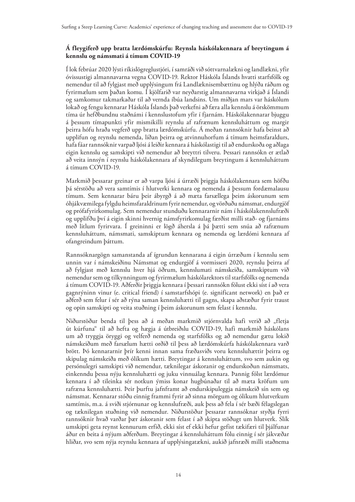#### <span id="page-13-0"></span>**Á fleygiferð upp bratta lærdómskúrfu: Reynsla háskólakennara af breytingum á kennslu og námsmati á tímum COVID-19**

Í lok febrúar 2020 lýsti ríkislögreglustjóri, í samráði við sóttvarnalækni og landlækni, yfir óvissustigi almannavarna vegna COVID-19. Rektor Háskóla Íslands hvatti starfsfólk og nemendur til að fylgjast með upplýsingum frá Landlæknisembættinu og hlýða ráðum og fyrirmælum sem þaðan komu. Í kjölfarið var neyðarstig almannavarna virkjað á Íslandi og samkomur takmarkaðar til að vernda íbúa landsins. Um miðjan mars var háskólum lokað og fengu kennarar Háskóla Íslands það verkefni að færa alla kennslu á örskömmum tíma úr hefðbundnu staðnámi í kennslustofum yfir í fjarnám. Háskólakennarar bjuggu á þessum tímapunkti yfir mismikilli reynslu af rafrænum kennsluháttum og margir þeirra hófu hraða vegferð upp bratta lærdómskúrfu. Á meðan rannsóknir hafa beinst að upplifun og reynslu nemenda, líðan þeirra og atvinnuhorfum á tímum heimsfaraldurs, hafa fáar rannsóknir varpað ljósi á leiðir kennara á háskólastigi til að endurskoða og aðlaga eigin kennslu og samskipti við nemendur að breyttri tilveru. Þessari rannsókn er ætlað að veita innsýn í reynslu háskólakennara af skyndilegum breytingum á kennsluháttum á tímum COVID-19.

Markmið þessarar greinar er að varpa ljósi á úrræði þriggja háskólakennara sem höfðu þá sérstöðu að vera samtímis í hlutverki kennara og nemenda á þessum fordæmalausu tímum. Sem kennarar báru þeir ábyrgð á að mæta farsællega þeim áskorunum sem óhjákvæmilega fylgdu heimsfaraldrinum fyrir nemendur, og vörðuðu námsmat, endurgjöf og prófafyrirkomulag. Sem nemendur stunduðu kennararnir nám í háskólakennslufræði og upplifðu því á eigin skinni hvernig námsfyrirkomulag færðist milli stað- og fjarnáms með litlum fyrirvara. Í greininni er lögð áhersla á þá þætti sem snúa að rafrænum kennsluháttum, námsmati, samskiptum kennara og nemenda og lærdómi kennara af ofangreindum þáttum.

Rannsóknargögn samanstanda af ígrundun kennarana á eigin úrræðum í kennslu sem unnin var í námskeiðinu Námsmat og endurgjöf á vormisseri 2020, reynslu þeirra af að fylgjast með kennslu hver hjá öðrum, kennslumati námskeiða, samskiptum við nemendur sem og tilkynningum og fyrirmælum háskólarektors til starfsfólks og nemenda á tímum COVID-19. Aðferðir þriggja kennara í þessari rannsókn fólust ekki síst í að vera gagnrýninn vinur (e. critical friend) í samstarfshópi (e. significant network) en það er aðferð sem felur í sér að rýna saman kennsluhætti til gagns, skapa aðstæður fyrir traust og opin samskipti og veita stuðning í þeim áskorunum sem felast í kennslu.

Niðurstöður benda til þess að á meðan markmið stjórnvalda hafi verið að "fletja út kúrfuna" til að hefta og hægja á útbreiðslu COVID-19, hafi markmið háskólans um að tryggja öryggi og velferð nemenda og starfsfólks og að nemendur gætu lokið námskeiðum með farsælum hætti orðið til þess að lærdómskúrfa háskólakennara varð brött. Þó kennararnir þrír kenni innan sama fræðasviðs voru kennsluhættir þeirra og skipulag námskeiða með ólíkum hætti. Breytingar á kennsluháttum, svo sem aukin og persónulegri samskipti við nemendur, tæknilegar áskoranir og endurskoðun námsmats, einkenndu þessa nýju kennsluhætti og juku vinnuálag kennara. Þannig fólst lærdómur kennara í að tileinka sér notkun ýmiss konar hugbúnaðar til að mæta kröfum um rafræna kennsluhætti. Þeir þurftu jafnframt að endurskipuleggja námskeið sín sem og námsmat. Kennarar stóðu einnig frammi fyrir að sinna mörgum og ólíkum hlutverkum samtímis, m.a. á sviði stjórnunar og kennslufræði, auk þess að fela í sér bæði félagslegan og tæknilegan stuðning við nemendur. Niðurstöður þessarar rannsóknar styðja fyrri rannsóknir hvað varðar þær áskoranir sem felast í að skipta stöðugt um hlutverk. Slík umskipti geta reynst kennurum erfið, ekki síst ef ekki hefur gefist tækifæri til þjálfunar áður en beita á nýjum aðferðum. Breytingar á kennsluháttum fólu einnig í sér jákvæðar hliðar, svo sem nýja reynslu kennara af upplýsingatækni, aukið jafnræði milli staðnema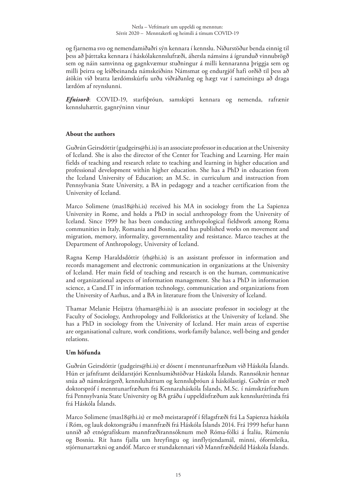<span id="page-14-0"></span>og fjarnema svo og nemendamiðaðri sýn kennara í kennslu. Niðurstöður benda einnig til þess að þátttaka kennara í háskólakennslufræði, áhersla námsins á ígrunduð vinnubrögð sem og náin samvinna og gagnkvæmur stuðningur á milli kennaranna þriggja sem og milli þeirra og leiðbeinanda námskeiðsins Námsmat og endurgjöf hafi orðið til þess að átökin við bratta lærdómskúrfu urðu viðráðanleg og hægt var í sameiningu að draga lærdóm af reynslunni.

*Efnisorð*: COVID-19, starfsþróun, samskipti kennara og nemenda, rafrænir kennsluhættir, gagnrýninn vinur

#### **About the authors**

Guðrún Geirsdóttir ([gudgeirs@hi.is\)](mailto:gudgeirs@hi.is) is an associate professor in education at the University of Iceland. She is also the director of the Center for Teaching and Learning. Her main fields of teaching and research relate to teaching and learning in higher education and professional development within higher education. She has a PhD in education from the Iceland University of Education; an M.Sc. in curriculum and instruction from Pennsylvania State University, a BA in pedagogy and a teacher certification from the University of Iceland.

Marco Solimene [\(mas18@hi.is\)](mailto:mas18@hi.is) received his MA in sociology from the La Sapienza University in Rome, and holds a PhD in social anthropology from the University of Iceland. Since 1999 he has been conducting anthropological fieldwork among Roma communities in Italy, Romania and Bosnia, and has published works on movement and migration, memory, informality, governmentality and resistance. Marco teaches at the Department of Anthropology, University of Iceland.

Ragna Kemp Haraldsdóttir [\(rh@hi.is\)](mailto:rh@hi.is) is an assistant professor in information and records management and electronic communication in organizations at the University of Iceland. Her main field of teaching and research is on the human, communicative and organizational aspects of information management. She has a PhD in information science, a Cand.IT in information technology, communication and organizations from the University of Aarhus, and a BA in literature from the University of Iceland.

Thamar Melanie Heijstra [\(thamar@hi.is](mailto:thamar@hi.is)) is an associate professor in sociology at the Faculty of Sociology, Anthropology and Folkloristics at the University of Iceland. She has a PhD in sociology from the University of Iceland. Her main areas of expertise are organisational culture, work conditions, work-family balance, well-being and gender relations.

#### **Um höfunda**

Guðrún Geirsdóttir ([gudgeirs@hi.is\)](mailto:gudgeirs@hi.is) er dósent í menntunarfræðum við Háskóla Íslands. Hún er jafnframt deildarstjóri Kennlsumiðstöðvar Háskóla Íslands. Rannsóknir hennar snúa að námskrárgerð, kennsluháttum og kennsluþróun á háskólastigi. Guðrún er með doktorspróf í menntunarfræðum frá Kennaraháskóla Íslands, M.Sc. í námskrárfræðum frá Pennsylvania State University og BA gráðu í uppeldisfræðum auk kennsluréttinda frá frá Háskóla Íslands.

Marco Solimene ([mas18@hi.is](mailto:mas18@hi.is)) er með meistarapróf í félagsfræði frá La Sapienza háskóla í Róm, og lauk doktorsgráðu í mannfræði frá Háskóla Íslands 2014. Frá 1999 hefur hann unnið að etnógrafískum mannfræðirannsóknum með Róma-fólki á Ítalíu, Rúmeníu og Bosníu. Rit hans fjalla um hreyfingu og innflytjendamál, minni, óformleika, stjórnunartækni og andóf. Marco er stundakennari við Mannfræðideild Háskóla Íslands.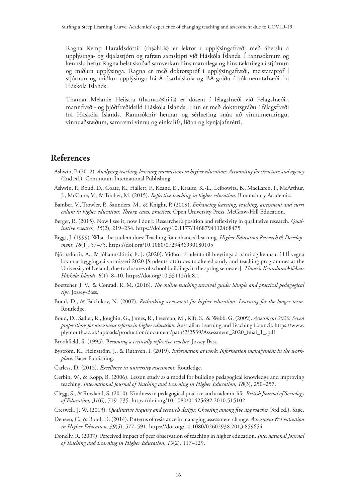<span id="page-15-0"></span>Ragna Kemp Haraldsdóttir [\(rh@hi.is\)](mailto:rh@hi.is) er lektor í upplýsingafræði með áherslu á upplýsinga- og skjalastjórn og rafræn samskipti við Háskóla Íslands. Í rannsóknum og kennslu hefur Ragna helst skoðað samverkan hins mannlega og hins tæknilega í stjórnun og miðlun upplýsinga. Ragna er með doktorspróf í upplýsingafræði, meistarapróf í stjórnun og miðlun upplýsinga frá Árósarháskóla og BA-gráðu í bókmenntafræði frá Háskóla Íslands.

Thamar Melanie Heijstra [\(thamar@hi.is\)](mailto:thamar@hi.is) er dósent í félagsfræði við Félagsfræði-, mannfræði- og þjóðfræðideild Háskóla Íslands. Hún er með doktorsgráðu í félagsfræði frá Háskóla Íslands. Rannsóknir hennar og sérhæfing snúa að vinnumenningu, vinnuaðstæðum, samræmi vinnu og einkalífs, líðan og kynjajafnrétti.

## **References**

- Ashwin, P. (2012). *Analysing teaching-learning interactions in higher education: Accounting for structure and agency* (2nd ed.). Continuum International Publishing.
- [Ashwin, P.,](http://www.research.lancs.ac.uk/portal/en/people/paul-ashwin(0ed574bb-9b78-486d-bb0f-b555cf7aafea).html) Boud, D., Coate, K., Hallett, F., Keane, E., Krause, K.-L., Leibowitz, B., MacLaren, I[., McArthur,](http://www.research.lancs.ac.uk/portal/en/people/jan-mcarthur(0be8603b-3e94-4aaa-9759-4a5a09ac46bd).html) [J.](http://www.research.lancs.ac.uk/portal/en/people/jan-mcarthur(0be8603b-3e94-4aaa-9759-4a5a09ac46bd).html), McCune, V., & Tooher, M. (2015). *Reflective teaching in higher education*. Bloomsbury Academic.
- Bamber, V., Trowler, P., Saunders, M., & Knight, P. (2009). *Enhancing learning, teaching, assessment and curri culum in higher education: Theory, cases, practices.* Open University Press, McGraw-Hill Education.
- Berger, R. (2015). Now I see it, now I don't: Researcher's position and reflexivity in qualitative research. *Qualitative research, 15*(2), 219–234.<https://doi.org/10.1177/1468794112468475>
- Biggs, J. (1999). What the student does: Teaching for enhanced learning. *Higher Education Research & Development, 18*(1), 57–75. ht[tps://doi.org/10.1080/0729436990180105](https://doi.org/10.1080/0729436990180105)
- Björnsdóttir, A., & Jóhannsdóttir, Þ. J. (2020). Viðhorf stúdenta til breytinga á námi og kennslu í HÍ vegna lokunar bygginga á vormisseri 2020 [Students' attitudes to altered study and teaching programmes at the University of Iceland, due to closures of school buildings in the spring semester]. *Tímarit Kennslumiðstöðvar Háskóla Íslands, 8*(1), 8–10.<https://doi.org/10.33112/tk.8.1>
- Boettcher, J. V., & Conrad, R. M. (2016). *The online teaching survival guide: Simple and practical pedagogical tips.* Jossey-Bass.
- Boud, D., & Falchikov, N. (2007). *Rethinking assessment for higher education: Learning for the longer term.*  Routledge.
- Boud, D., Sadler, R., Joughin, G., James, R., Freeman, M., Kift, S., & Webb, G. (2009). *Assessment 2020: Seven propositions for assessment reform in higher education.* Australian Learning and Teaching Council. [https://www.](https://www.plymouth.ac.uk/uploads/production/document/path/2/2539/Assessment_2020_final_1_.pdf) [plymouth.ac.uk/uploads/production/document/path/2/2539/Assessment\\_2020\\_final\\_1\\_.pdf](https://www.plymouth.ac.uk/uploads/production/document/path/2/2539/Assessment_2020_final_1_.pdf)
- Brookfield, S. (1995). B*ecoming a critically reflective teacher.* Jossey Bass.
- Byström, K., Heinström, J., & Ruthven, I. (2019). *Information at work; Information management in the workplace.* Facet Publishing.
- Carless, D. (2015). *Excellence in university assessment.* Routledge.
- Cerbin, W., & Kopp, B. (2006). Lesson study as a model for building pedagogical knowledge and improving teaching. *International Journal of Teaching and Learning in Higher Education, 18*(3), 250–257.
- Clegg, S., & Rowland, S. (2010). Kindness in pedagogical practice and academic life. *British Journal of Sociology of Education, 31*(6), 719–735. <https://doi.org/10.1080/01425692.2010.515102>
- Creswell, J. W. (2013). *Qualitative inquiry and research design: Choosing among five approaches* (3rd ed.). Sage.
- Deneen, C., & Boud, D. (2014). Patterns of resistance in managing assessment change. *Assessment & Evaluation in Higher Education, 39*(5), 577–591.<https://doi.org/10.1080/02602938.2013.859654>
- Donelly, R. (2007). Perceived impact of peer observation of teaching in higher education. *International Journal of Teaching and Learning in Higher Education, 19*(2), 117–129.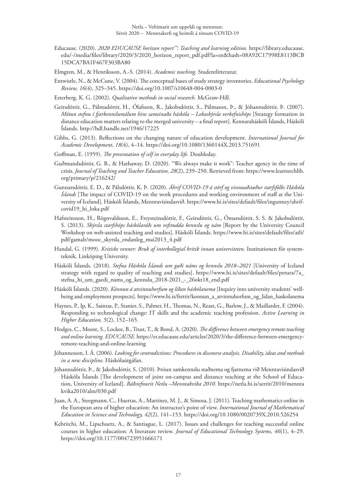Educause. (2020). *2020 EDUCAUSE horizon report™: Teaching and learning edition.* [https://library.educause.](https://library.educause.edu/-/media/files/library/2020/3/2020_horizon_report_pdf.pdf?la=en&hash=08A92C17998E8113BCB15DCA7BA1F467F303BA80) [edu/-/media/files/library/2020/3/2020\\_horizon\\_report\\_pdf.pdf?la=en&hash=08A92C17998E8113BCB](https://library.educause.edu/-/media/files/library/2020/3/2020_horizon_report_pdf.pdf?la=en&hash=08A92C17998E8113BCB15DCA7BA1F467F303BA80) [15DCA7BA1F467F303BA80](https://library.educause.edu/-/media/files/library/2020/3/2020_horizon_report_pdf.pdf?la=en&hash=08A92C17998E8113BCB15DCA7BA1F467F303BA80)

Elmgren, M., & Henriksson, A.-S. (2014). *Academic teaching.* Studentlitteratur.

Entwistle, N., & McCune, V. (2004). The conceptual bases of study strategy inventories. *Educational Psychology Review, 16*(4), 325–345.<https://doi.org/10.1007/s10648-004-0003-0>

Esterberg, K. G. (2002). *Qualitative methods in social research.* McGraw-Hill.

- Geirsdóttir, G., Pálmadóttir, H., Ólafsson, R., Jakobsdóttir, S., Pálmason, Þ., & Jóhannsdóttir, Þ. (2007). *Mótun stefnu í fjarkennslumálum hins sameinaða háskóla – Lokaskýrsla verkefnishóps* [Strategy formation in distance education matters relating to the merged university – a final report]. Kennaraháskóli Íslands, Háskóli Íslands. <http://hdl.handle.net/1946/17225>
- Gibbs, G. (2013). Reflections on the changing nature of education development. *International Journal for Academic Development, 18*(4), 4–14. <https://doi.org/10.1080/1360144X.2013.751691>
- Goffman, E. (1959). *The presentation of self in everyday life.* Doubleday.
- Guðmundsdóttir, G. B., & Hathaway, D. (2020). "We always make it work": Teacher agency in the time of crisis. *Journal of Teaching and Teacher Education, 28*(2), 239–250. Retrieved from: [https://www.learntechlib.](https://www.learntechlib.org/primary/p/216242/) [org/primary/p/216242/](https://www.learntechlib.org/primary/p/216242/)
- Gunnarsdóttir, E. D., & Pálsdóttir, K. Þ. (2020). *Áhrif COVID-19 á störf og vinnuaðstæður starfsfólks Háskóla Íslands* [The impact of COVID-19 on the work procedures and working environment of staff at the University of Iceland]. Háskóli Íslands, Menntavísindasvið. https[://www.hi.is/sites/default/files/ingunney/ahrif](https://www.hi.is/sites/default/files/ingunney/ahrifcovid19_hi_loka.pdf)[covid19\\_hi\\_loka.pdf](https://www.hi.is/sites/default/files/ingunney/ahrifcovid19_hi_loka.pdf)
- Hafsteinsson, H., Rögnvaldsson, E., Freysteinsdóttir, F., Geirsdóttir, G., Ómarsdóttir, S. S. & Jakobsdóttir, S. (2013). *Skýrsla starfshóps háskólaráðs um vefstudda kennslu og nám* [Report by the University Council Workshop on web-assisted teaching and studies]. Háskóli Íslands. [https://www.hi.is/sites/default/files/atli/](https://www.hi.is/sites/default/files/atli/pdf/gamalt/mooc_skyrsla_endanleg_mai2013_4.pdf) [pdf/gamalt/mooc\\_skyrsla\\_endanleg\\_mai2013\\_4.pdf](https://www.hi.is/sites/default/files/atli/pdf/gamalt/mooc_skyrsla_endanleg_mai2013_4.pdf)
- Handal, G. (1999). *Kritiske venner: Bruk af interkollegial kritik innan universiteten.* Institutionen för systemteknik, Linköping University.
- Háskóli Íslands. (2018). *Stefna Háskóla Íslands um gæði náms og kennslu 2018–2021* [University of Iceland strategy with regard to quality of teaching and studi[es\]. https://www.hi.is/sites/default/files/petura/7a\\_](https://www.hi.is/sites/default/files/petura/7a_stefna_hi_um_gaedi_nams_og_kennslu_2018-2021_-_26okt18_end.pdf) [stefna\\_hi\\_um\\_gaedi\\_nams\\_og\\_kennslu\\_2018-2021\\_-\\_26okt18\\_end.](https://www.hi.is/sites/default/files/petura/7a_stefna_hi_um_gaedi_nams_og_kennslu_2018-2021_-_26okt18_end.pdf)pdf
- Háskóli Íslands. (2020). *Könnun á atvinnuhorfum og líðan háskólanema* [Inquiry into university students' wellbeing and employment prospects[\]. https://www.hi.is/frettir/konnun\\_a\\_atvinnuhorfum\\_og\\_lidan\\_haskolanema](https://www.hi.is/frettir/konnun_a_atvinnuhorfum_og_lidan_haskolanema)
- Haynes, P., Ip, K., Saintas, P., Stanier, S., Palmer, H., Thomas, N., Reast, G., Barlow, J., & Maillardet, F. (2004). Responding to technological change: IT skills and the academic teaching profession. *Active Learning in Higher Education, 5*(2), 152–165.
- Hodges, C., Moore, S., Lockee, B., Trust, T., & Bond, A. (2020). *The difference between emergency remote teaching and online learning. EDUCAUSE.* [https://er.educause.edu/articles/2020/3/the-difference-between-emergency](https://er.educause.edu/articles/2020/3/the-difference-between-emergency-remote-teaching-and-online-learning)[remote-teaching-and-online-learning](https://er.educause.edu/articles/2020/3/the-difference-between-emergency-remote-teaching-and-online-learning)
- Jóhannesson, I. Á. (2006). *Looking for contradictions: Procedures in discourse analysis. Disability, ideas and methods in a new discipline.* Háskólaútgáfan.
- Jóhannsdóttir, Þ., & Jakobsdóttir, S. (2010). Þróun samkennslu staðnema og fjarnema við Menntavísindasvið Háskóla Íslands [The development of joint on-campus and distance teaching at the School of Education, University of Iceland]. *Ráðstefnurit Netlu –Menntakvika 2010.* [https://netla.hi.is/serrit/2010/mennta](https://netla.hi.is/serrit/2010/menntakvika2010/alm/030.pdf) [kvika2010/alm/030.p](https://netla.hi.is/serrit/2010/menntakvika2010/alm/030.pdf)df
- Juan, A. A., Steegmann, C., Huertas, A., Martinez, M. J., & Simosa, J. (2011). Teaching mathematics online in the European area of higher education: An instructor's point of view. *International Journal of Mathematical Education in Science and Technology, 42*(2), 141–153. <https://doi.org/10.1080/0020739X.2010.526254>
- Kebritchi, M., Lipschuetz, A., & Santiague, L. (2017). Issues and challenges for teaching successful online courses in higher education: A literature review. *Journal of Educational Technology Systems, 46*(1), 4–29. <https://doi.org/10.1177/004723951666171>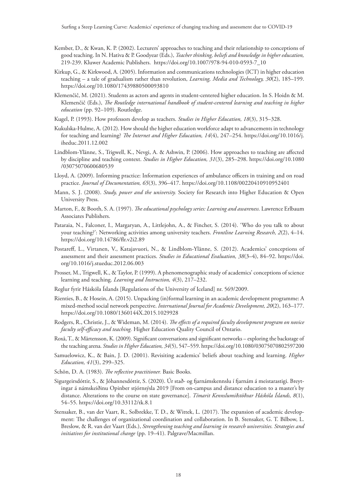- Kember, D., & Kwan, K. P. (2002). Lecturers' approaches to teaching and their relationship to conceptions of good teaching. In N. Hativa & P. Goodyear (Eds.), *Teacher thinking, beliefs and knowledge in higher education,*  219-239. Kluwer Academic Publishers. [https://doi.org/10.1007/978-94-010-0593-7\\_10](https://doi.org/10.1007/978-94-010-0593-7_10)
- Kirkup, G., & Kirkwood, A. (2005). Information and communications technologies (ICT) in higher education teaching – a tale of gradualism rather than revolution, *Learning, Media and Technology, 30*(2), 185–199. <https://doi.org/10.1080/17439880500093810>
- Klemenčič, M. (2021). Students as actors and agents in student-centered higher education. In S. Hoidn & M. Klemenčič (Eds.), *The Routledge international handbook of student-centered learning and teaching in higher education* (pp. 92–109). Routledge.
- Kugel, P. (1993). How professors develop as teachers. *Studies in Higher Education, 18*(3), 315–328.
- Kukulska-Hulme, A. (2012). How should the higher education workforce adapt to advancements in technology for teaching and learning? *The Internet and Higher Education, 14*(4), 247–254. [https://doi.org/10.1016/j.](https://doi.org/10.1016/j.iheduc.2011.12.002) [iheduc.2011.12.002](https://doi.org/10.1016/j.iheduc.2011.12.002)
- Lindblom-Ylänne, S., Trigwell, K., Nevgi, A. & Ashwin, P. (2006). How approaches to teaching are affected by discipline and teaching context. *Studies in Higher Education, 31*(3), 285–298. [https://doi.org/10.1080](https://doi.org/10.1080/03075070600680539) [/03075070600680539](https://doi.org/10.1080/03075070600680539)
- Lloyd, A. (2009). Informing practice: Information experiences of ambulance officers in training and on road practice. *Journal of Documentation, 65*(3), 396–417.<https://doi.org/10.1108/00220410910952401>
- Mann, S. J. (2008). *Study, power and the university.* Society for Research into Higher Education & Open University Press.
- Marton, F., & Booth, S. A. (1997). *The educational psychology series: Learning and awareness.* Lawrence Erlbaum Associates Publishers.
- Pataraia, N., Falconer, I., Margaryan, A., Littlejohn, A., & Fincher, S. (2014). 'Who do you talk to about your teaching?': Networking activities among university teachers. *Frontline Learning Research, 2*(2), 4–14. <https://doi.org/10.14786/flr.v2i2.89>
- Postareff, L., Virtanen, V., Katajavuori, N., & Lindblom-Ylänne, S. (2012). Academics' conceptions of assessment and their assessment practices. *Studies in Educational Evaluation, 38*(3–4), 84–92. [https://doi.](https://doi.org/10.1016/j.stueduc.2012.06.003) [org/10.1016/j.stueduc.2012.06.003](https://doi.org/10.1016/j.stueduc.2012.06.003)
- Prosser, M., Trigwell, K., & Taylor, P. (1999). A phenomenographic study of academics' conceptions of science learning and teaching. *Learning and Instruction, 4*(3), 217–232.
- Reglur fyrir Háskóla Íslands [Regulations of the University of Iceland] nr. 569/2009.
- Rienties, B., & Hosein, A. (2015). Unpacking (in)formal learning in an academic development programme: A mixed-method social network perspective. *International Journal for Academic Development, 20*(2), 163–177. <https://doi.org/10.1080/1360144X.2015.1029928>
- Rodgers, R., Christie, J., & Wideman, M. (2014). *The effects of a required faculty development program on novice faculty self-efficacy and teaching.* Higher Education Quality Council of Ontario.
- Roxå, T., & Mårtensson, K. (2009). Significant conversations and significant networks exploring the backstage of the teaching arena. *Studies in Higher Education, 34*(5), 547–559.<https://doi.org/10.1080/03075070802597200>
- Samuelowicz, K., & Bain, J. D. (2001). Revisiting academics' beliefs about teaching and learning. *Higher Education, 41*(3), 299–325.
- Schön, D. A. (1983). *The reflective practitioner.* Basic Books.
- Sigurgeirsdóttir, S., & Jóhannesdóttir, S. (2020). Úr stað- og fjarnámskennslu í fjarnám á meistarastigi. Breytingar á námskeiðinu Opinber stjórnsýsla 2019 [From on-campus and distance education to a master's by distance. Alterations to the course on state governance]. *Tímarit Kennslumiðstöðvar Háskóla Íslands, 8*(1), 54–55.<https://doi.org/10.33112/tk.8.1>
- Stensaker, B., van der Vaart, R., Solbrekke, T. D., & Wittek, L. (2017). The expansion of academic development: The challenges of organizational coordination and collaboration. In B. Stensaker, G. T. Bilbow, L. Breslow, & R. van der Vaart (Eds.), *Strengthening teaching and learning in research universities. Strategies and initiatives for institutional change* (pp. 19–41). Palgrave/Macmillan.